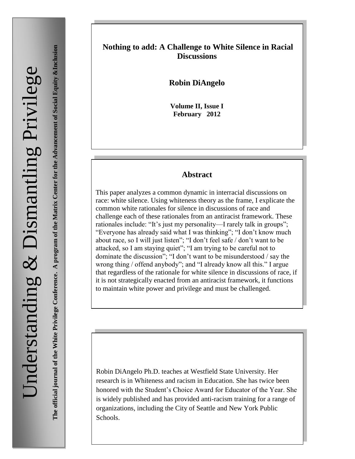# **Nothing to add: A Challenge to White Silence in Racial Discussions**

**Robin DiAngelo**

**Volume II, Issue I February 2012**

# **Abstract**

This paper analyzes a common dynamic in interracial discussions on race: white silence. Using whiteness theory as the frame, I explicate the common white rationales for silence in discussions of race and challenge each of these rationales from an antiracist framework. These rationales include: "It's just my personality—I rarely talk in groups"; "Everyone has already said what I was thinking"; "I don't know much about race, so I will just listen"; "I don't feel safe / don't want to be attacked, so I am staying quiet"; "I am trying to be careful not to dominate the discussion"; "I don't want to be misunderstood / say the wrong thing / offend anybody"; and "I already know all this." I argue that regardless of the rationale for white silence in discussions of race, if it is not strategically enacted from an antiracist framework, it functions to maintain white power and privilege and must be challenged.

Robin DiAngelo Ph.D. teaches at Westfield State University. Her research is in Whiteness and racism in Education. She has twice been honored with the Student's Choice Award for Educator of the Year. She is widely published and has provided anti-racism training for a range of organizations, including the City of Seattle and New York Public Schools.

**The official journal of the White Privilege Conference. A program of the Matrix Center for the Advancement of Social Equity &Inclusion**

The official journal of the White Privilege Conference. A program of the Matrix Center for the Advancement of Social Equity &Inclusion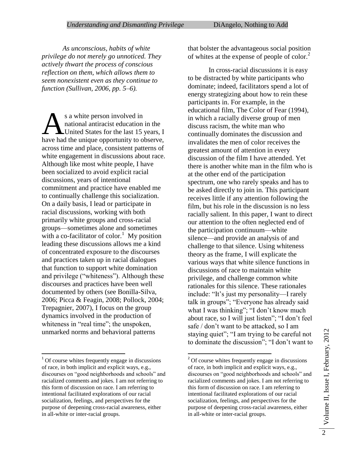*As unconscious, habits of white privilege do not merely go unnoticed. They actively thwart the process of conscious reflection on them, which allows them to seem nonexistent even as they continue to function (Sullivan, 2006, pp. 5–6).*

s a white person involved in national antiracist education in the United States for the last 15 years, I S a white person involved in<br>
national antiracist education in the<br>
United States for the last 15 years, I<br>
have had the unique opportunity to observe, across time and place, consistent patterns of white engagement in discussions about race. Although like most white people, I have been socialized to avoid explicit racial discussions, years of intentional commitment and practice have enabled me to continually challenge this socialization. On a daily basis, I lead or participate in racial discussions, working with both primarily white groups and cross-racial groups—sometimes alone and sometimes with a co-facilitator of color.<sup>1</sup> My position leading these discussions allows me a kind of concentrated exposure to the discourses and practices taken up in racial dialogues that function to support white domination and privilege ("whiteness"). Although these discourses and practices have been well documented by others (see Bonilla-Silva, 2006; Picca & Feagin, 2008; Pollock, 2004; Trepagnier, 2007), I focus on the group dynamics involved in the production of whiteness in "real time"; the unspoken, unmarked norms and behavioral patterns

 $\overline{\phantom{a}}$ 

that bolster the advantageous social position of whites at the expense of people of color.<sup>2</sup>

In cross-racial discussions it is easy to be distracted by white participants who dominate; indeed, facilitators spend a lot of energy strategizing about how to rein these participants in. For example, in the educational film, The Color of Fear (1994), in which a racially diverse group of men discuss racism, the white man who continually dominates the discussion and invalidates the men of color receives the greatest amount of attention in every discussion of the film I have attended. Yet there is another white man in the film who is at the other end of the participation spectrum, one who rarely speaks and has to be asked directly to join in. This participant receives little if any attention following the film, but his role in the discussion is no less racially salient. In this paper, I want to direct our attention to the often neglected end of the participation continuum—white silence—and provide an analysis of and challenge to that silence. Using whiteness theory as the frame, I will explicate the various ways that white silence functions in discussions of race to maintain white privilege, and challenge common white rationales for this silence. These rationales include: "It's just my personality—I rarely talk in groups"; "Everyone has already said what I was thinking"; "I don't know much about race, so I will just listen"; "I don't feel safe / don't want to be attacked, so I am staying quiet"; "I am trying to be careful not to dominate the discussion"; "I don't want to

 $\overline{\phantom{a}}$ 

 $1$  Of course whites frequently engage in discussions of race, in both implicit and explicit ways, e.g., discourses on "good neighborhoods and schools" and racialized comments and jokes. I am not referring to this form of discussion on race. I am referring to intentional facilitated explorations of our racial socialization, feelings, and perspectives for the purpose of deepening cross-racial awareness, either in all-white or inter-racial groups.

<sup>&</sup>lt;sup>2</sup> Of course whites frequently engage in discussions of race, in both implicit and explicit ways, e.g., discourses on "good neighborhoods and schools" and racialized comments and jokes. I am not referring to this form of discussion on race. I am referring to intentional facilitated explorations of our racial socialization, feelings, and perspectives for the purpose of deepening cross-racial awareness, either in all-white or inter-racial groups.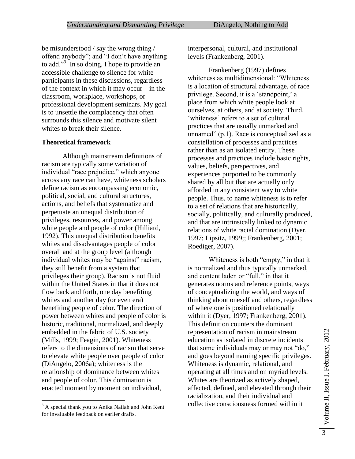be misunderstood / say the wrong thing / offend anybody"; and "I don't have anything to add." $3\degree$  In so doing, I hope to provide an accessible challenge to silence for white participants in these discussions, regardless of the context in which it may occur—in the classroom, workplace, workshops, or professional development seminars. My goal is to unsettle the complacency that often surrounds this silence and motivate silent whites to break their silence.

#### **Theoretical framework**

Although mainstream definitions of racism are typically some variation of individual "race prejudice," which anyone across any race can have, whiteness scholars define racism as encompassing economic, political, social, and cultural structures, actions, and beliefs that systematize and perpetuate an unequal distribution of privileges, resources, and power among white people and people of color (Hilliard, 1992). This unequal distribution benefits whites and disadvantages people of color overall and at the group level (although individual whites may be "against" racism, they still benefit from a system that privileges their group). Racism is not fluid within the United States in that it does not flow back and forth, one day benefiting whites and another day (or even era) benefiting people of color. The direction of power between whites and people of color is historic, traditional, normalized, and deeply embedded in the fabric of U.S. society (Mills, 1999; Feagin, 2001). Whiteness refers to the dimensions of racism that serve to elevate white people over people of color (DiAngelo, 2006a); whiteness is the relationship of dominance between whites and people of color. This domination is enacted moment by moment on individual,

l

interpersonal, cultural, and institutional levels (Frankenberg, 2001).

Frankenberg (1997) defines whiteness as multidimensional: "Whiteness is a location of structural advantage, of race privilege. Second, it is a 'standpoint,' a place from which white people look at ourselves, at others, and at society. Third, 'whiteness' refers to a set of cultural practices that are usually unmarked and unnamed" (p.1). Race is conceptualized as a constellation of processes and practices rather than as an isolated entity. These processes and practices include basic rights, values, beliefs, perspectives, and experiences purported to be commonly shared by all but that are actually only afforded in any consistent way to white people. Thus, to name whiteness is to refer to a set of relations that are historically, socially, politically, and culturally produced, and that are intrinsically linked to dynamic relations of white racial domination (Dyer, 1997; Lipsitz, 1999;; Frankenberg, 2001; Roediger, 2007).

Whiteness is both "empty," in that it is normalized and thus typically unmarked, and content laden or "full," in that it generates norms and reference points, ways of conceptualizing the world, and ways of thinking about oneself and others, regardless of where one is positioned relationally within it (Dyer, 1997; Frankenberg, 2001). This definition counters the dominant representation of racism in mainstream education as isolated in discrete incidents that some individuals may or may not "do," and goes beyond naming specific privileges. Whiteness is dynamic, relational, and operating at all times and on myriad levels. Whites are theorized as actively shaped, affected, defined, and elevated through their racialization, and their individual and collective consciousness formed within it

<sup>&</sup>lt;sup>3</sup> A special thank you to Anika Nailah and John Kent for invaluable feedback on earlier drafts.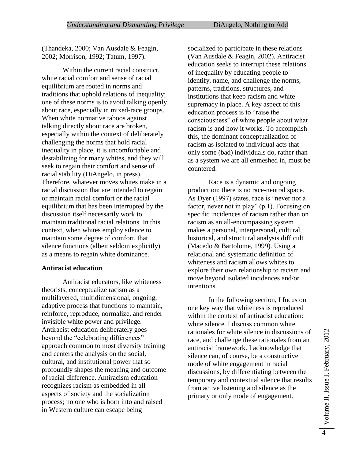(Thandeka, 2000; Van Ausdale & Feagin, 2002; Morrison, 1992; Tatum, 1997).

Within the current racial construct, white racial comfort and sense of racial equilibrium are rooted in norms and traditions that uphold relations of inequality; one of these norms is to avoid talking openly about race, especially in mixed-race groups. When white normative taboos against talking directly about race are broken, especially within the context of deliberately challenging the norms that hold racial inequality in place, it is uncomfortable and destabilizing for many whites, and they will seek to regain their comfort and sense of racial stability (DiAngelo, in press). Therefore, whatever moves whites make in a racial discussion that are intended to regain or maintain racial comfort or the racial equilibrium that has been interrupted by the discussion itself necessarily work to maintain traditional racial relations. In this context, when whites employ silence to maintain some degree of comfort, that silence functions (albeit seldom explicitly) as a means to regain white dominance.

#### **Antiracist education**

Antiracist educators, like whiteness theorists, conceptualize racism as a multilayered, multidimensional, ongoing, adaptive process that functions to maintain, reinforce, reproduce, normalize, and render invisible white power and privilege. Antiracist education deliberately goes beyond the "celebrating differences" approach common to most diversity training and centers the analysis on the social, cultural, and institutional power that so profoundly shapes the meaning and outcome of racial difference. Antiracism education recognizes racism as embedded in all aspects of society and the socialization process; no one who is born into and raised in Western culture can escape being

socialized to participate in these relations (Van Ausdale & Feagin, 2002). Antiracist education seeks to interrupt these relations of inequality by educating people to identify, name, and challenge the norms, patterns, traditions, structures, and institutions that keep racism and white supremacy in place. A key aspect of this education process is to "raise the consciousness" of white people about what racism is and how it works. To accomplish this, the dominant conceptualization of racism as isolated to individual acts that only some (bad) individuals do, rather than as a system we are all enmeshed in, must be countered.

Race is a dynamic and ongoing production; there is no race-neutral space. As Dyer (1997) states, race is "never not a factor, never not in play" (p.1). Focusing on specific incidences of racism rather than on racism as an all-encompassing system makes a personal, interpersonal, cultural, historical, and structural analysis difficult (Macedo & Bartolome, 1999). Using a relational and systematic definition of whiteness and racism allows whites to explore their own relationship to racism and move beyond isolated incidences and/or intentions.

In the following section, I focus on one key way that whiteness is reproduced within the context of antiracist education: white silence. I discuss common white rationales for white silence in discussions of race, and challenge these rationales from an antiracist framework. I acknowledge that silence can, of course, be a constructive mode of white engagement in racial discussions, by differentiating between the temporary and contextual silence that results from active listening and silence as the primary or only mode of engagement.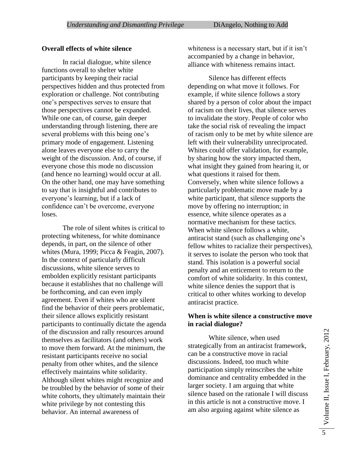# **Overall effects of white silence**

In racial dialogue, white silence functions overall to shelter white participants by keeping their racial perspectives hidden and thus protected from exploration or challenge. Not contributing one's perspectives serves to ensure that those perspectives cannot be expanded. While one can, of course, gain deeper understanding through listening, there are several problems with this being one's primary mode of engagement. Listening alone leaves everyone else to carry the weight of the discussion. And, of course, if everyone chose this mode no discussion (and hence no learning) would occur at all. On the other hand, one may have something to say that is insightful and contributes to everyone's learning, but if a lack of confidence can't be overcome, everyone loses.

The role of silent whites is critical to protecting whiteness, for white dominance depends, in part, on the silence of other whites (Mura, 1999; Picca & Feagin, 2007). In the context of particularly difficult discussions, white silence serves to embolden explicitly resistant participants because it establishes that no challenge will be forthcoming, and can even imply agreement. Even if whites who are silent find the behavior of their peers problematic, their silence allows explicitly resistant participants to continually dictate the agenda of the discussion and rally resources around themselves as facilitators (and others) work to move them forward. At the minimum, the resistant participants receive no social penalty from other whites, and the silence effectively maintains white solidarity. Although silent whites might recognize and be troubled by the behavior of some of their white cohorts, they ultimately maintain their white privilege by not contesting this behavior. An internal awareness of

whiteness is a necessary start, but if it isn't accompanied by a change in behavior, alliance with whiteness remains intact.

Silence has different effects depending on what move it follows. For example, if white silence follows a story shared by a person of color about the impact of racism on their lives, that silence serves to invalidate the story. People of color who take the social risk of revealing the impact of racism only to be met by white silence are left with their vulnerability unreciprocated. Whites could offer validation, for example, by sharing how the story impacted them, what insight they gained from hearing it, or what questions it raised for them. Conversely, when white silence follows a particularly problematic move made by a white participant, that silence supports the move by offering no interruption; in essence, white silence operates as a normative mechanism for these tactics. When white silence follows a white, antiracist stand (such as challenging one's fellow whites to racialize their perspectives), it serves to isolate the person who took that stand. This isolation is a powerful social penalty and an enticement to return to the comfort of white solidarity. In this context, white silence denies the support that is critical to other whites working to develop antiracist practice.

### **When is white silence a constructive move in racial dialogue?**

White silence, when used strategically from an antiracist framework, can be a constructive move in racial discussions. Indeed, too much white participation simply reinscribes the white dominance and centrality embedded in the larger society. I am arguing that white silence based on the rationale I will discuss in this article is not a constructive move. I am also arguing against white silence as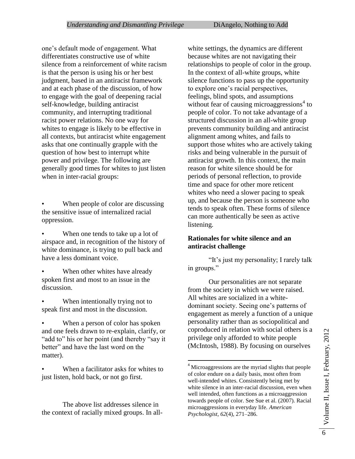one's default mode of engagement. What differentiates constructive use of white silence from a reinforcement of white racism is that the person is using his or her best judgment, based in an antiracist framework and at each phase of the discussion, of how to engage with the goal of deepening racial self-knowledge, building antiracist community, and interrupting traditional racist power relations. No one way for whites to engage is likely to be effective in all contexts, but antiracist white engagement asks that one continually grapple with the question of how best to interrupt white power and privilege. The following are generally good times for whites to just listen when in inter-racial groups:

When people of color are discussing the sensitive issue of internalized racial oppression.

When one tends to take up a lot of airspace and, in recognition of the history of white dominance, is trying to pull back and have a less dominant voice.

When other whites have already spoken first and most to an issue in the discussion.

When intentionally trying not to speak first and most in the discussion.

When a person of color has spoken and one feels drawn to re-explain, clarify, or "add to" his or her point (and thereby "say it better" and have the last word on the matter).

• When a facilitator asks for whites to just listen, hold back, or not go first.

The above list addresses silence in the context of racially mixed groups. In allwhite settings, the dynamics are different because whites are not navigating their relationships to people of color in the group. In the context of all-white groups, white silence functions to pass up the opportunity to explore one's racial perspectives, feelings, blind spots, and assumptions without fear of causing microaggressions $4$  to people of color. To not take advantage of a structured discussion in an all-white group prevents community building and antiracist alignment among whites, and fails to support those whites who are actively taking risks and being vulnerable in the pursuit of antiracist growth. In this context, the main reason for white silence should be for periods of personal reflection, to provide time and space for other more reticent whites who need a slower pacing to speak up, and because the person is someone who tends to speak often. These forms of silence can more authentically be seen as active listening.

#### **Rationales for white silence and an antiracist challenge**

"It's just my personality; I rarely talk in groups."

Our personalities are not separate from the society in which we were raised. All whites are socialized in a whitedominant society. Seeing one's patterns of engagement as merely a function of a unique personality rather than as sociopolitical and coproduced in relation with social others is a privilege only afforded to white people (McIntosh, 1988). By focusing on ourselves

l <sup>4</sup> Microaggressions are the myriad slights that people of color endure on a daily basis, most often from well-intended whites. Consistently being met by white silence in an inter-racial discussion, even when well intended, often functions as a microaggression towards people of color. See Sue et al. (2007). Racial microaggressions in everyday life. *American Psychologist, 62*(4), 271–286.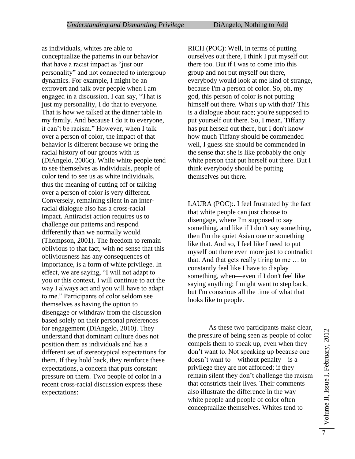as individuals, whites are able to conceptualize the patterns in our behavior that have a racist impact as "just our personality" and not connected to intergroup dynamics. For example, I might be an extrovert and talk over people when I am engaged in a discussion. I can say, "That is just my personality, I do that to everyone. That is how we talked at the dinner table in my family. And because I do it to everyone, it can't be racism." However, when I talk over a person of color, the impact of that behavior is different because we bring the racial history of our groups with us (DiAngelo, 2006c). While white people tend to see themselves as individuals, people of color tend to see us as white individuals, thus the meaning of cutting off or talking over a person of color is very different. Conversely, remaining silent in an interracial dialogue also has a cross-racial impact. Antiracist action requires us to challenge our patterns and respond differently than we normally would (Thompson, 2001). The freedom to remain oblivious to that fact, with no sense that this obliviousness has any consequences of importance, is a form of white privilege. In effect, we are saying, "I will not adapt to you or this context, I will continue to act the way I always act and you will have to adapt to me." Participants of color seldom see themselves as having the option to disengage or withdraw from the discussion based solely on their personal preferences for engagement (DiAngelo, 2010). They understand that dominant culture does not position them as individuals and has a different set of stereotypical expectations for them. If they hold back, they reinforce these expectations, a concern that puts constant pressure on them. Two people of color in a recent cross-racial discussion express these expectations:

RICH (POC): Well, in terms of putting ourselves out there, I think I put myself out there too. But if I was to come into this group and not put myself out there, everybody would look at me kind of strange, because I'm a person of color. So, oh, my god, this person of color is not putting himself out there. What's up with that? This is a dialogue about race; you're supposed to put yourself out there. So, I mean, Tiffany has put herself out there, but I don't know how much Tiffany should be commended well, I guess she should be commended in the sense that she is like probably the only white person that put herself out there. But I think everybody should be putting themselves out there.

LAURA (POC):. I feel frustrated by the fact that white people can just choose to disengage, where I'm supposed to say something, and like if I don't say something, then I'm the quiet Asian one or something like that. And so, I feel like I need to put myself out there even more just to contradict that. And that gets really tiring to me … to constantly feel like I have to display something, when—even if I don't feel like saying anything; I might want to step back, but I'm conscious all the time of what that looks like to people.

As these two participants make clear, the pressure of being seen as people of color compels them to speak up, even when they don't want to. Not speaking up because one doesn't want to—without penalty—is a privilege they are not afforded; if they remain silent they don't challenge the racism that constricts their lives. Their comments also illustrate the difference in the way white people and people of color often conceptualize themselves. Whites tend to

Volume II, Issue I, February, 2012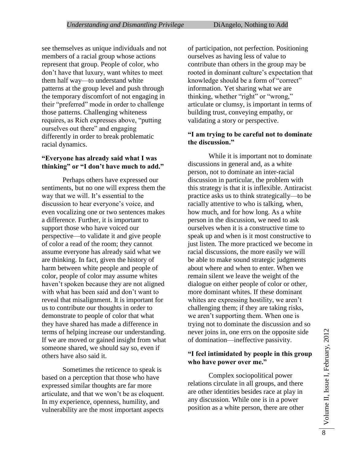see themselves as unique individuals and not members of a racial group whose actions represent that group. People of color, who don't have that luxury, want whites to meet them half way—to understand white patterns at the group level and push through the temporary discomfort of not engaging in their "preferred" mode in order to challenge those patterns. Challenging whiteness requires, as Rich expresses above, "putting ourselves out there" and engaging differently in order to break problematic racial dynamics.

#### **"Everyone has already said what I was thinking" or "I don't have much to add."**

Perhaps others have expressed our sentiments, but no one will express them the way that we will. It's essential to the discussion to hear everyone's voice, and even vocalizing one or two sentences makes a difference. Further, it is important to support those who have voiced our perspective—to validate it and give people of color a read of the room; they cannot assume everyone has already said what we are thinking. In fact, given the history of harm between white people and people of color, people of color may assume whites haven't spoken because they are not aligned with what has been said and don't want to reveal that misalignment. It is important for us to contribute our thoughts in order to demonstrate to people of color that what they have shared has made a difference in terms of helping increase our understanding. If we are moved or gained insight from what someone shared, we should say so, even if others have also said it.

Sometimes the reticence to speak is based on a perception that those who have expressed similar thoughts are far more articulate, and that we won't be as eloquent. In my experience, openness, humility, and vulnerability are the most important aspects of participation, not perfection. Positioning ourselves as having less of value to contribute than others in the group may be rooted in dominant culture's expectation that knowledge should be a form of "correct" information. Yet sharing what we are thinking, whether "right" or "wrong," articulate or clumsy, is important in terms of building trust, conveying empathy, or validating a story or perspective.

### **"I am trying to be careful not to dominate the discussion."**

While it is important not to dominate discussions in general and, as a white person, not to dominate an inter-racial discussion in particular, the problem with this strategy is that it is inflexible. Antiracist practice asks us to think strategically—to be racially attentive to who is talking, when, how much, and for how long. As a white person in the discussion, we need to ask ourselves when it is a constructive time to speak up and when is it most constructive to just listen. The more practiced we become in racial discussions, the more easily we will be able to make sound strategic judgments about where and when to enter. When we remain silent we leave the weight of the dialogue on either people of color or other, more dominant whites. If these dominant whites are expressing hostility, we aren't challenging them; if they are taking risks, we aren't supporting them. When one is trying not to dominate the discussion and so never joins in, one errs on the opposite side of domination—ineffective passivity.

# **"I feel intimidated by people in this group who have power over me."**

Complex sociopolitical power relations circulate in all groups, and there are other identities besides race at play in any discussion. While one is in a power position as a white person, there are other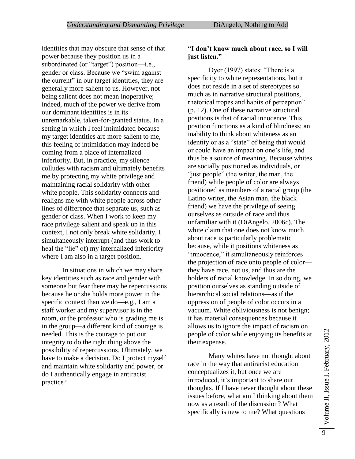identities that may obscure that sense of that power because they position us in a subordinated (or "target") position—i.e., gender or class. Because we "swim against the current" in our target identities, they are generally more salient to us. However, not being salient does not mean inoperative; indeed, much of the power we derive from our dominant identities is in its unremarkable, taken-for-granted status. In a setting in which I feel intimidated because my target identities are more salient to me, this feeling of intimidation may indeed be coming from a place of internalized inferiority. But, in practice, my silence colludes with racism and ultimately benefits me by protecting my white privilege and maintaining racial solidarity with other white people. This solidarity connects and realigns me with white people across other lines of difference that separate us, such as gender or class. When I work to keep my race privilege salient and speak up in this context, I not only break white solidarity, I simultaneously interrupt (and thus work to heal the "lie" of) my internalized inferiority where I am also in a target position.

In situations in which we may share key identities such as race and gender with someone but fear there may be repercussions because he or she holds more power in the specific context than we do—e.g., I am a staff worker and my supervisor is in the room, or the professor who is grading me is in the group—a different kind of courage is needed. This is the courage to put our integrity to do the right thing above the possibility of repercussions. Ultimately, we have to make a decision. Do I protect myself and maintain white solidarity and power, or do I authentically engage in antiracist practice?

### **"I don't know much about race, so I will just listen."**

Dyer (1997) states: "There is a specificity to white representations, but it does not reside in a set of stereotypes so much as in narrative structural positions, rhetorical tropes and habits of perception" (p. 12). One of these narrative structural positions is that of racial innocence. This position functions as a kind of blindness; an inability to think about whiteness as an identity or as a "state" of being that would or could have an impact on one's life, and thus be a source of meaning. Because whites are socially positioned as individuals, or "just people" (the writer, the man, the friend) while people of color are always positioned as members of a racial group (the Latino writer, the Asian man, the black friend) we have the privilege of seeing ourselves as outside of race and thus unfamiliar with it (DiAngelo, 2006c). The white claim that one does not know much about race is particularly problematic because, while it positions whiteness as "innocence," it simultaneously reinforces the projection of race onto people of color they have race, not us, and thus are the holders of racial knowledge. In so doing, we position ourselves as standing outside of hierarchical social relations—as if the oppression of people of color occurs in a vacuum. White obliviousness is not benign; it has material consequences because it allows us to ignore the impact of racism on people of color while enjoying its benefits at their expense.

Many whites have not thought about race in the way that antiracist education conceptualizes it, but once we are introduced, it's important to share our thoughts. If I have never thought about these issues before, what am I thinking about them now as a result of the discussion? What specifically is new to me? What questions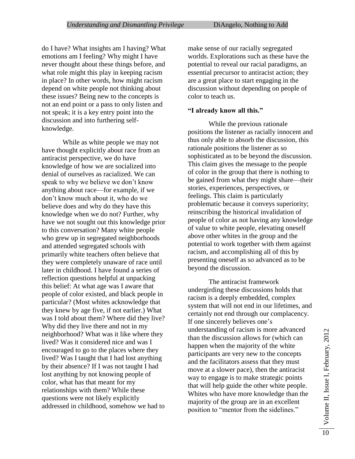do I have? What insights am I having? What emotions am I feeling? Why might I have never thought about these things before, and what role might this play in keeping racism in place? In other words, how might racism depend on white people not thinking about these issues? Being new to the concepts is not an end point or a pass to only listen and not speak; it is a key entry point into the discussion and into furthering selfknowledge.

While as white people we may not have thought explicitly about race from an antiracist perspective, we do have knowledge of how we are socialized into denial of ourselves as racialized. We can speak to why we believe we don't know anything about race—for example, if we don't know much about it, who do we believe does and why do they have this knowledge when we do not? Further, why have we not sought out this knowledge prior to this conversation? Many white people who grew up in segregated neighborhoods and attended segregated schools with primarily white teachers often believe that they were completely unaware of race until later in childhood. I have found a series of reflection questions helpful at unpacking this belief: At what age was I aware that people of color existed, and black people in particular? (Most whites acknowledge that they knew by age five, if not earlier.) What was I told about them? Where did they live? Why did they live there and not in my neighborhood? What was it like where they lived? Was it considered nice and was I encouraged to go to the places where they lived? Was I taught that I had lost anything by their absence? If I was not taught I had lost anything by not knowing people of color, what has that meant for my relationships with them? While these questions were not likely explicitly addressed in childhood, somehow we had to

make sense of our racially segregated worlds. Explorations such as these have the potential to reveal our racial paradigms, an essential precursor to antiracist action; they are a great place to start engaging in the discussion without depending on people of color to teach us.

#### **"I already know all this."**

While the previous rationale positions the listener as racially innocent and thus only able to absorb the discussion, this rationale positions the listener as so sophisticated as to be beyond the discussion. This claim gives the message to the people of color in the group that there is nothing to be gained from what they might share—their stories, experiences, perspectives, or feelings. This claim is particularly problematic because it conveys superiority; reinscribing the historical invalidation of people of color as not having any knowledge of value to white people, elevating oneself above other whites in the group and the potential to work together with them against racism, and accomplishing all of this by presenting oneself as so advanced as to be beyond the discussion.

The antiracist framework undergirding these discussions holds that racism is a deeply embedded, complex system that will not end in our lifetimes, and certainly not end through our complacency. If one sincerely believes one's understanding of racism is more advanced than the discussion allows for (which can happen when the majority of the white participants are very new to the concepts and the facilitators assess that they must move at a slower pace), then the antiracist way to engage is to make strategic points that will help guide the other white people. Whites who have more knowledge than the majority of the group are in an excellent position to "mentor from the sidelines."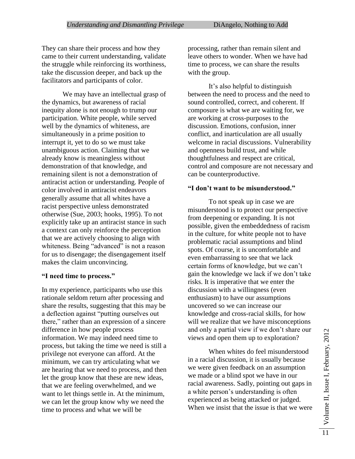They can share their process and how they came to their current understanding, validate the struggle while reinforcing its worthiness, take the discussion deeper, and back up the facilitators and participants of color.

We may have an intellectual grasp of the dynamics, but awareness of racial inequity alone is not enough to trump our participation. White people, while served well by the dynamics of whiteness, are simultaneously in a prime position to interrupt it, yet to do so we must take unambiguous action. Claiming that we already know is meaningless without demonstration of that knowledge, and remaining silent is not a demonstration of antiracist action or understanding. People of color involved in antiracist endeavors generally assume that all whites have a racist perspective unless demonstrated otherwise (Sue, 2003; hooks, 1995). To not explicitly take up an antiracist stance in such a context can only reinforce the perception that we are actively choosing to align with whiteness. Being "advanced" is not a reason for us to disengage; the disengagement itself makes the claim unconvincing.

#### **"I need time to process."**

In my experience, participants who use this rationale seldom return after processing and share the results, suggesting that this may be a deflection against "putting ourselves out there," rather than an expression of a sincere difference in how people process information. We may indeed need time to process, but taking the time we need is still a privilege not everyone can afford. At the minimum, we can try articulating what we are hearing that we need to process, and then let the group know that these are new ideas, that we are feeling overwhelmed, and we want to let things settle in. At the minimum, we can let the group know why we need the time to process and what we will be

processing, rather than remain silent and leave others to wonder. When we have had time to process, we can share the results with the group.

It's also helpful to distinguish between the need to process and the need to sound controlled, correct, and coherent. If composure is what we are waiting for, we are working at cross-purposes to the discussion. Emotions, confusion, inner conflict, and inarticulation are all usually welcome in racial discussions. Vulnerability and openness build trust, and while thoughtfulness and respect are critical, control and composure are not necessary and can be counterproductive.

### **"I don't want to be misunderstood."**

To not speak up in case we are misunderstood is to protect our perspective from deepening or expanding. It is not possible, given the embeddedness of racism in the culture, for white people not to have problematic racial assumptions and blind spots. Of course, it is uncomfortable and even embarrassing to see that we lack certain forms of knowledge, but we can't gain the knowledge we lack if we don't take risks. It is imperative that we enter the discussion with a willingness (even enthusiasm) to have our assumptions uncovered so we can increase our knowledge and cross-racial skills, for how will we realize that we have misconceptions and only a partial view if we don't share our views and open them up to exploration?

When whites do feel misunderstood in a racial discussion, it is usually because we were given feedback on an assumption we made or a blind spot we have in our racial awareness. Sadly, pointing out gaps in a white person's understanding is often experienced as being attacked or judged. When we insist that the issue is that we were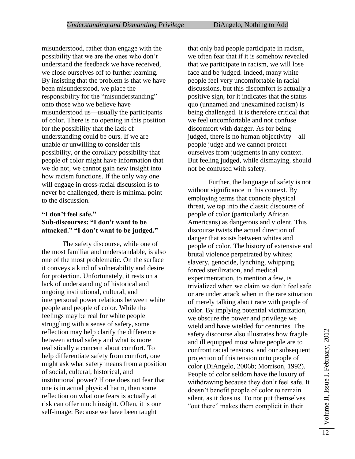misunderstood, rather than engage with the possibility that we are the ones who don't understand the feedback we have received, we close ourselves off to further learning. By insisting that the problem is that we have been misunderstood, we place the responsibility for the "misunderstanding" onto those who we believe have misunderstood us—usually the participants of color. There is no opening in this position for the possibility that the lack of understanding could be ours. If we are unable or unwilling to consider this possibility, or the corollary possibility that people of color might have information that we do not, we cannot gain new insight into how racism functions. If the only way one will engage in cross-racial discussion is to never be challenged, there is minimal point to the discussion.

### **"I don't feel safe." Sub-discourses: "I don't want to be attacked." "I don't want to be judged."**

The safety discourse, while one of the most familiar and understandable, is also one of the most problematic. On the surface it conveys a kind of vulnerability and desire for protection. Unfortunately, it rests on a lack of understanding of historical and ongoing institutional, cultural, and interpersonal power relations between white people and people of color. While the feelings may be real for white people struggling with a sense of safety, some reflection may help clarify the difference between actual safety and what is more realistically a concern about comfort. To help differentiate safety from comfort, one might ask what safety means from a position of social, cultural, historical, and institutional power? If one does not fear that one is in actual physical harm, then some reflection on what one fears is actually at risk can offer much insight. Often, it is our self-image: Because we have been taught

that only bad people participate in racism, we often fear that if it is somehow revealed that we participate in racism, we will lose face and be judged. Indeed, many white people feel very uncomfortable in racial discussions, but this discomfort is actually a positive sign, for it indicates that the status quo (unnamed and unexamined racism) is being challenged. It is therefore critical that we feel uncomfortable and not confuse discomfort with danger. As for being judged, there is no human objectivity—all people judge and we cannot protect ourselves from judgments in any context. But feeling judged, while dismaying, should not be confused with safety.

Further, the language of safety is not without significance in this context. By employing terms that connote physical threat, we tap into the classic discourse of people of color (particularly African Americans) as dangerous and violent. This discourse twists the actual direction of danger that exists between whites and people of color. The history of extensive and brutal violence perpetrated by whites; slavery, genocide, lynching, whipping, forced sterilization, and medical experimentation, to mention a few, is trivialized when we claim we don't feel safe or are under attack when in the rare situation of merely talking about race with people of color. By implying potential victimization, we obscure the power and privilege we wield and have wielded for centuries. The safety discourse also illustrates how fragile and ill equipped most white people are to confront racial tensions, and our subsequent projection of this tension onto people of color (DiAngelo, 2006b; Morrison, 1992). People of color seldom have the luxury of withdrawing because they don't feel safe. It doesn't benefit people of color to remain silent, as it does us. To not put themselves "out there" makes them complicit in their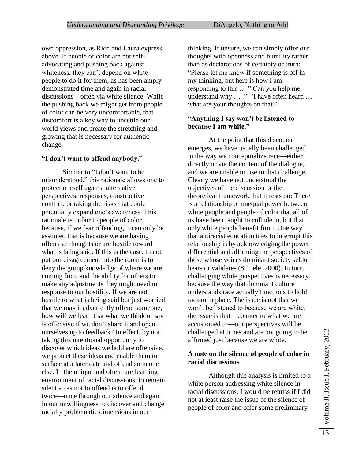own oppression, as Rich and Laura express above. If people of color are not selfadvocating and pushing back against whiteness, they can't depend on white people to do it for them, as has been amply demonstrated time and again in racial discussions—often via white silence. While the pushing back we might get from people of color can be very uncomfortable, that discomfort is a key way to unsettle our world views and create the stretching and growing that is necessary for authentic change.

### **"I don't want to offend anybody."**

Similar to "I don't want to be misunderstood," this rationale allows one to protect oneself against alternative perspectives, responses, constructive conflict, or taking the risks that could potentially expand one's awareness. This rationale is unfair to people of color because, if we fear offending, it can only be assumed that is because we are having offensive thoughts or are hostile toward what is being said. If this is the case, to not put our disagreement into the room is to deny the group knowledge of where we are coming from and the ability for others to make any adjustments they might need in response to our hostility. If we are not hostile to what is being said but just worried that we may inadvertently offend someone, how will we learn that what we think or say is offensive if we don't share it and open ourselves up to feedback? In effect, by not taking this intentional opportunity to discover which ideas we hold are offensive, we protect these ideas and enable them to surface at a later date and offend someone else. In the unique and often rare learning environment of racial discussions, to remain silent so as not to offend is to offend twice—once through our silence and again in our unwillingness to discover and change racially problematic dimensions in our

thinking. If unsure, we can simply offer our thoughts with openness and humility rather than as declarations of certainty or truth: "Please let me know if something is off in my thinking, but here is how I am responding to this … " Can you help me understand why … ?" "I have often heard … what are your thoughts on that?"

#### **"Anything I say won't be listened to because I am white."**

At the point that this discourse emerges, we have usually been challenged in the way we conceptualize race—either directly or via the content of the dialogue, and we are unable to rise to that challenge. Clearly we have not understood the objectives of the discussion or the theoretical framework that it rests on: There is a relationship of unequal power between white people and people of color that all of us have been taught to collude in, but that only white people benefit from. One way that antiracist education tries to interrupt this relationship is by acknowledging the power differential and affirming the perspectives of those whose voices dominant society seldom hears or validates (Schiele, 2000). In turn, challenging white perspectives is necessary because the way that dominant culture understands race actually functions to hold racism in place. The issue is not that we won't be listened to because we are white; the issue is that—counter to what we are accustomed to—our perspectives will be challenged at times and are not going to be affirmed just because we are white.

# **A note on the silence of people of color in racial discussions**

Although this analysis is limited to a white person addressing white silence in racial discussions, I would be remiss if I did not at least raise the issue of the silence of people of color and offer some preliminary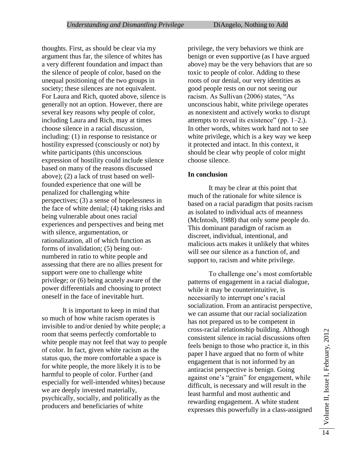thoughts. First, as should be clear via my argument thus far, the silence of whites has a very different foundation and impact than the silence of people of color, based on the unequal positioning of the two groups in society; these silences are not equivalent. For Laura and Rich, quoted above, silence is generally not an option. However, there are several key reasons why people of color, including Laura and Rich, may at times choose silence in a racial discussion, including: (1) in response to resistance or hostility expressed (consciously or not) by white participants (this unconscious expression of hostility could include silence based on many of the reasons discussed above); (2) a lack of trust based on wellfounded experience that one will be penalized for challenging white perspectives; (3) a sense of hopelessness in the face of white denial; (4) taking risks and being vulnerable about ones racial experiences and perspectives and being met with silence, argumentation, or rationalization, all of which function as forms of invalidation; (5) being outnumbered in ratio to white people and assessing that there are no allies present for support were one to challenge white privilege; or (6) being acutely aware of the power differentials and choosing to protect oneself in the face of inevitable hurt.

It is important to keep in mind that so much of how white racism operates is invisible to and/or denied by white people; a room that seems perfectly comfortable to white people may not feel that way to people of color. In fact, given white racism as the status quo, the more comfortable a space is for white people, the more likely it is to be harmful to people of color. Further (and especially for well-intended whites) because we are deeply invested materially, psychically, socially, and politically as the producers and beneficiaries of white

privilege, the very behaviors we think are benign or even supportive (as I have argued above) may be the very behaviors that are so toxic to people of color. Adding to these roots of our denial, our very identities as good people rests on our not seeing our racism. As Sullivan (2006) states, "As unconscious habit, white privilege operates as nonexistent and actively works to disrupt attempts to reveal its existence" (pp. 1–2.). In other words, whites work hard not to see white privilege, which is a key way we keep it protected and intact. In this context, it should be clear why people of color might choose silence.

#### **In conclusion**

It may be clear at this point that much of the rationale for white silence is based on a racial paradigm that posits racism as isolated to individual acts of meanness (McIntosh, 1988) that only some people do. This dominant paradigm of racism as discreet, individual, intentional, and malicious acts makes it unlikely that whites will see our silence as a function of, and support to, racism and white privilege.

To challenge one's most comfortable patterns of engagement in a racial dialogue, while it may be counterintuitive, is necessarily to interrupt one's racial socialization. From an antiracist perspective, we can assume that our racial socialization has not prepared us to be competent in cross-racial relationship building. Although consistent silence in racial discussions often feels benign to those who practice it, in this paper I have argued that no form of white engagement that is not informed by an antiracist perspective is benign. Going against one's "grain" for engagement, while difficult, is necessary and will result in the least harmful and most authentic and rewarding engagement. A white student expresses this powerfully in a class-assigned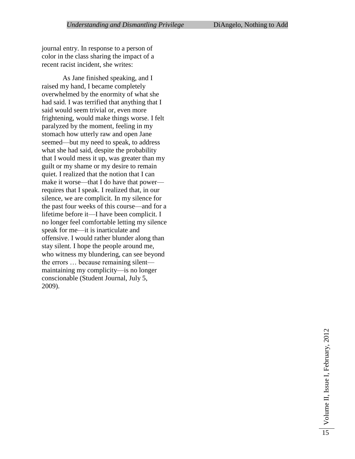journal entry. In response to a person of color in the class sharing the impact of a recent racist incident, she writes:

As Jane finished speaking, and I raised my hand, I became completely overwhelmed by the enormity of what she had said. I was terrified that anything that I said would seem trivial or, even more frightening, would make things worse. I felt paralyzed by the moment, feeling in my stomach how utterly raw and open Jane seemed—but my need to speak, to address what she had said, despite the probability that I would mess it up, was greater than my guilt or my shame or my desire to remain quiet. I realized that the notion that I can make it worse—that I do have that power requires that I speak. I realized that, in our silence, we are complicit. In my silence for the past four weeks of this course—and for a lifetime before it—I have been complicit. I no longer feel comfortable letting my silence speak for me—it is inarticulate and offensive. I would rather blunder along than stay silent. I hope the people around me, who witness my blundering, can see beyond the errors … because remaining silent maintaining my complicity—is no longer conscionable (Student Journal, July 5, 2009).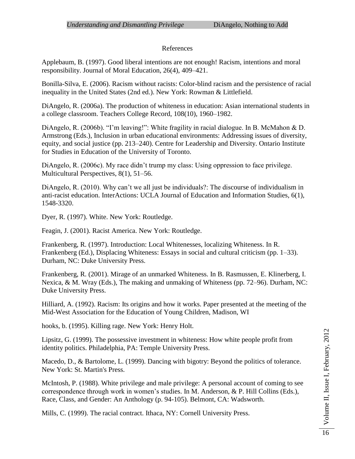#### References

Applebaum, B. (1997). Good liberal intentions are not enough! Racism, intentions and moral responsibility. Journal of Moral Education, 26(4), 409–421.

Bonilla-Silva, E. (2006). Racism without racists: Color-blind racism and the persistence of racial inequality in the United States (2nd ed.). New York: Rowman & Littlefield.

DiAngelo, R. (2006a). The production of whiteness in education: Asian international students in a college classroom. Teachers College Record, 108(10), 1960–1982.

DiAngelo, R. (2006b). "I'm leaving!": White fragility in racial dialogue. In B. McMahon & D. Armstrong (Eds.), Inclusion in urban educational environments: Addressing issues of diversity, equity, and social justice (pp. 213–240). Centre for Leadership and Diversity. Ontario Institute for Studies in Education of the University of Toronto.

DiAngelo, R. (2006c). My race didn't trump my class: Using oppression to face privilege. Multicultural Perspectives, 8(1), 51–56.

DiAngelo, R. (2010). Why can't we all just be individuals?: The discourse of individualism in anti-racist education. InterActions: UCLA Journal of Education and Information Studies, 6(1), 1548-3320.

Dyer, R. (1997). White. New York: Routledge.

Feagin, J. (2001). Racist America. New York: Routledge.

Frankenberg, R. (1997). Introduction: Local Whitenesses, localizing Whiteness. In R. Frankenberg (Ed.), Displacing Whiteness: Essays in social and cultural criticism (pp. 1–33). Durham, NC: Duke University Press.

Frankenberg, R. (2001). Mirage of an unmarked Whiteness. In B. Rasmussen, E. Klinerberg, I. Nexica, & M. Wray (Eds.), The making and unmaking of Whiteness (pp. 72–96). Durham, NC: Duke University Press.

Hilliard, A. (1992). Racism: Its origins and how it works. Paper presented at the meeting of the Mid-West Association for the Education of Young Children, Madison, WI

hooks, b. (1995). Killing rage. New York: Henry Holt.

Lipsitz, G. (1999). The possessive investment in whiteness: How white people profit from identity politics. Philadelphia, PA: Temple University Press.

Macedo, D., & Bartolome, L. (1999). Dancing with bigotry: Beyond the politics of tolerance. New York: St. Martin's Press.

McIntosh, P. (1988). White privilege and male privilege: A personal account of coming to see correspondence through work in women's studies. In M. Anderson, & P. Hill Collins (Eds.), Race, Class, and Gender: An Anthology (p. 94-105). Belmont, CA: Wadsworth.

Mills, C. (1999). The racial contract. Ithaca, NY: Cornell University Press.